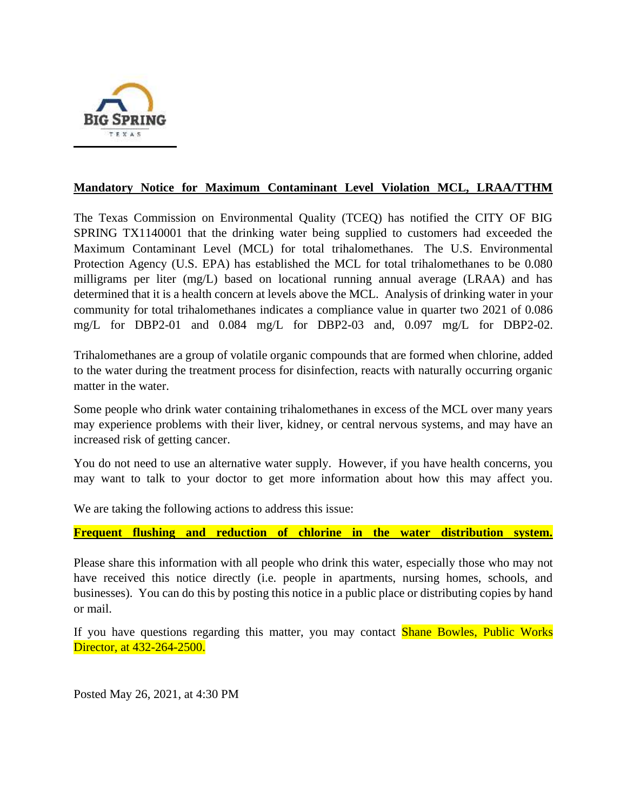

## **Mandatory Notice for Maximum Contaminant Level Violation MCL, LRAA/TTHM**

The Texas Commission on Environmental Quality (TCEQ) has notified the CITY OF BIG SPRING TX1140001 that the drinking water being supplied to customers had exceeded the Maximum Contaminant Level (MCL) for total trihalomethanes. The U.S. Environmental Protection Agency (U.S. EPA) has established the MCL for total trihalomethanes to be 0.080 milligrams per liter (mg/L) based on locational running annual average (LRAA) and has determined that it is a health concern at levels above the MCL. Analysis of drinking water in your community for total trihalomethanes indicates a compliance value in quarter two 2021 of 0.086 mg/L for DBP2-01 and 0.084 mg/L for DBP2-03 and, 0.097 mg/L for DBP2-02.

Trihalomethanes are a group of volatile organic compounds that are formed when chlorine, added to the water during the treatment process for disinfection, reacts with naturally occurring organic matter in the water.

Some people who drink water containing trihalomethanes in excess of the MCL over many years may experience problems with their liver, kidney, or central nervous systems, and may have an increased risk of getting cancer.

You do not need to use an alternative water supply. However, if you have health concerns, you may want to talk to your doctor to get more information about how this may affect you.

We are taking the following actions to address this issue:

## **Frequent flushing and reduction of chlorine in the water distribution system.**

Please share this information with all people who drink this water, especially those who may not have received this notice directly (i.e. people in apartments, nursing homes, schools, and businesses). You can do this by posting this notice in a public place or distributing copies by hand or mail.

If you have questions regarding this matter, you may contact **Shane Bowles, Public Works** Director, at 432-264-2500.

Posted May 26, 2021, at 4:30 PM